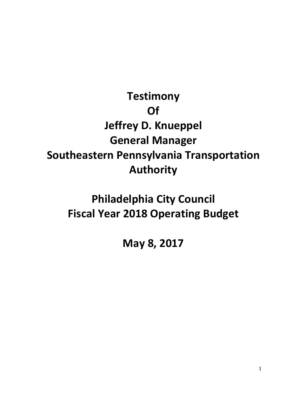## **Testimony Of Jeffrey D. Knueppel General Manager Southeastern Pennsylvania Transportation Authority**

## **Philadelphia City Council Fiscal Year 2018 Operating Budget**

**May 8, 2017**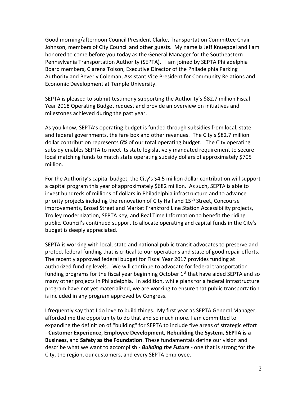Good morning/afternoon Council President Clarke, Transportation Committee Chair Johnson, members of City Council and other guests. My name is Jeff Knueppel and I am honored to come before you today as the General Manager for the Southeastern Pennsylvania Transportation Authority (SEPTA). I am joined by SEPTA Philadelphia Board members, Clarena Tolson, Executive Director of the Philadelphia Parking Authority and Beverly Coleman, Assistant Vice President for Community Relations and Economic Development at Temple University.

SEPTA is pleased to submit testimony supporting the Authority's \$82.7 million Fiscal Year 2018 Operating Budget request and provide an overview on initiatives and milestones achieved during the past year.

As you know, SEPTA's operating budget is funded through subsidies from local, state and federal governments, the fare box and other revenues. The City's \$82.7 million dollar contribution represents 6% of our total operating budget. The City operating subsidy enables SEPTA to meet its state legislatively mandated requirement to secure local matching funds to match state operating subsidy dollars of approximately \$705 million.

For the Authority's capital budget, the City's \$4.5 million dollar contribution will support a capital program this year of approximately \$682 million. As such, SEPTA is able to invest hundreds of millions of dollars in Philadelphia infrastructure and to advance priority projects including the renovation of City Hall and 15<sup>th</sup> Street, Concourse improvements, Broad Street and Market Frankford Line Station Accessibility projects, Trolley modernization, SEPTA Key, and Real Time Information to benefit the riding public. Council's continued support to allocate operating and capital funds in the City's budget is deeply appreciated.

SEPTA is working with local, state and national public transit advocates to preserve and protect federal funding that is critical to our operations and state of good repair efforts. The recently approved federal budget for Fiscal Year 2017 provides funding at authorized funding levels. We will continue to advocate for federal transportation funding programs for the fiscal year beginning October  $1<sup>st</sup>$  that have aided SEPTA and so many other projects in Philadelphia. In addition, while plans for a federal infrastructure program have not yet materialized, we are working to ensure that public transportation is included in any program approved by Congress.

I frequently say that I do love to build things. My first year as SEPTA General Manager, afforded me the opportunity to do that and so much more. I am committed to expanding the definition of "building" for SEPTA to include five areas of strategic effort - **Customer Experience, Employee Development, Rebuilding the System, SEPTA is a Business**, and **Safety as the Foundation**. These fundamentals define our vision and describe what we want to accomplish - *Building the Future* - one that is strong for the City, the region, our customers, and every SEPTA employee.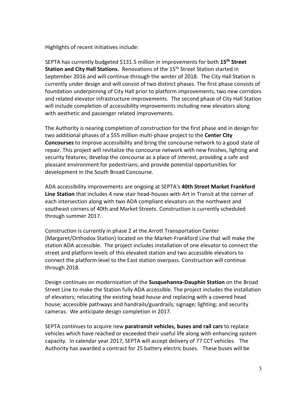Highlights of recent initiatives include:

SEPTA has currently budgeted \$131.5 million in improvements for both **15th Street Station and City Hall Stations.** Renovations of the 15th Street Station started in September 2016 and will continue through the winter of 2018. The City Hall Station is currently under design and will consist of two distinct phases. The first phase consists of foundation underpinning of City Hall prior to platform improvements, two new corridors and related elevator infrastructure improvements. The second phase of City Hall Station will include completion of accessibility improvements including new elevators along with aesthetic and passenger related improvements.

The Authority is nearing completion of construction for the first phase and in design for two additional phases of a \$55 million multi-phase project to the **Center City Concourses** to improve accessibility and bring the concourse network to a good state of repair. This project will revitalize the concourse network with new finishes, lighting and security features; develop the concourse as a place of interest, providing a safe and pleasant environment for pedestrians; and provide potential opportunities for development in the South Broad Concourse.

ADA accessibility improvements are ongoing at SEPTA's **40th Street Market Frankford Line Station** that includes 4 new stair head-houses with Art in Transit at the corner of each intersection along with two ADA compliant elevators on the northwest and southeast corners of 40th and Market Streets. Construction is currently scheduled through summer 2017.

Construction is currently in phase 2 at the Arrott Transportation Center (Margaret/Orthodox Station) located on the Market-Frankford Line that will make the station ADA accessible. The project includes installation of one elevator to connect the street and platform levels of this elevated station and two accessible elevators to connect the platform level to the East station overpass. Construction will continue through 2018.

Design continues on modernization of the **Susquehanna-Dauphin Station** on the Broad Street Line to make the Station fully ADA accessible. The project includes the installation of elevators; relocating the existing head house and replacing with a covered head house; accessible pathways and handrails/guardrails; signage; lighting; and security cameras. We anticipate design completion in 2017.

SEPTA continues to acquire new **paratransit vehicles, buses and rail cars** to replace vehicles which have reached or exceeded their useful life along with enhancing system capacity. In calendar year 2017, SEPTA will accept delivery of 77 CCT vehicles. The Authority has awarded a contract for 25 battery electric buses. These buses will be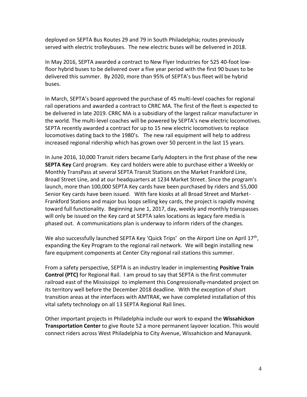deployed on SEPTA Bus Routes 29 and 79 in South Philadelphia; routes previously served with electric trolleybuses. The new electric buses will be delivered in 2018.

In May 2016, SEPTA awarded a contract to New Flyer Industries for 525 40-foot lowfloor hybrid buses to be delivered over a five year period with the first 90 buses to be delivered this summer. By 2020, more than 95% of SEPTA's bus fleet will be hybrid buses.

In March, SEPTA's board approved the purchase of 45 multi-level coaches for regional rail operations and awarded a contract to CRRC MA. The first of the fleet is expected to be delivered in late 2019. CRRC MA is a subsidiary of the largest railcar manufacturer in the world. The multi-level coaches will be powered by SEPTA's new electric locomotives. SEPTA recently awarded a contract for up to 15 new electric locomotives to replace locomotives dating back to the 1980's. The new rail equipment will help to address increased regional ridership which has grown over 50 percent in the last 15 years.

In June 2016, 10,000 Transit riders became Early Adopters in the first phase of the new **SEPTA Key** Card program. Key card holders were able to purchase either a Weekly or Monthly TransPass at several SEPTA Transit Stations on the Market Frankford Line, Broad Street Line, and at our headquarters at 1234 Market Street. Since the program's launch, more than 100,000 SEPTA Key cards have been purchased by riders and 55,000 Senior Key cards have been issued. With fare kiosks at all Broad Street and Market-Frankford Stations and major bus loops selling key cards, the project is rapidly moving toward full functionality. Beginning June 1, 2017, day, weekly and monthly transpasses will only be issued on the Key card at SEPTA sales locations as legacy fare media is phased out. A communications plan is underway to inform riders of the changes.

We also successfully launched SEPTA Key 'Quick Trips' on the Airport Line on April 17<sup>th</sup>, expanding the Key Program to the regional rail network. We will begin installing new fare equipment components at Center City regional rail stations this summer.

From a safety perspective, SEPTA is an industry leader in implementing **Positive Train Control (PTC)** for Regional Rail. I am proud to say that SEPTA is the first commuter railroad east of the Mississippi to implement this Congressionally-mandated project on its territory well before the December 2018 deadline. With the exception of short transition areas at the interfaces with AMTRAK, we have completed installation of this vital safety technology on all 13 SEPTA Regional Rail lines.

Other important projects in Philadelphia include our work to expand the **Wissahickon Transportation Center** to give Route 52 a more permanent layover location. This would connect riders across West Philadelphia to City Avenue, Wissahickon and Manayunk.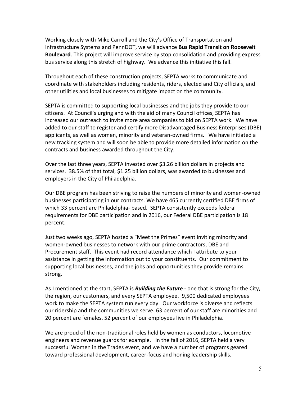Working closely with Mike Carroll and the City's Office of Transportation and Infrastructure Systems and PennDOT, we will advance **Bus Rapid Transit on Roosevelt Boulevard**. This project will improve service by stop consolidation and providing express bus service along this stretch of highway. We advance this initiative this fall.

Throughout each of these construction projects, SEPTA works to communicate and coordinate with stakeholders including residents, riders, elected and City officials, and other utilities and local businesses to mitigate impact on the community.

SEPTA is committed to supporting local businesses and the jobs they provide to our citizens. At Council's urging and with the aid of many Council offices, SEPTA has increased our outreach to invite more area companies to bid on SEPTA work. We have added to our staff to register and certify more Disadvantaged Business Enterprises (DBE) applicants, as well as women, minority and veteran-owned firms. We have initiated a new tracking system and will soon be able to provide more detailed information on the contracts and business awarded throughout the City.

Over the last three years, SEPTA invested over \$3.26 billion dollars in projects and services. 38.5% of that total, \$1.25 billion dollars, was awarded to businesses and employers in the City of Philadelphia.

Our DBE program has been striving to raise the numbers of minority and women-owned businesses participating in our contracts. We have 465 currently certified DBE firms of which 33 percent are Philadelphia- based. SEPTA consistently exceeds federal requirements for DBE participation and in 2016, our Federal DBE participation is 18 percent.

Just two weeks ago, SEPTA hosted a "Meet the Primes" event inviting minority and women-owned businesses to network with our prime contractors, DBE and Procurement staff. This event had record attendance which I attribute to your assistance in getting the information out to your constituents. Our commitment to supporting local businesses, and the jobs and opportunities they provide remains strong.

As I mentioned at the start, SEPTA is *Building the Future* - one that is strong for the City, the region, our customers, and every SEPTA employee. 9,500 dedicated employees work to make the SEPTA system run every day. Our workforce is diverse and reflects our ridership and the communities we serve. 63 percent of our staff are minorities and 20 percent are females. 52 percent of our employees live in Philadelphia.

We are proud of the non-traditional roles held by women as conductors, locomotive engineers and revenue guards for example. In the fall of 2016, SEPTA held a very successful Women in the Trades event, and we have a number of programs geared toward professional development, career-focus and honing leadership skills.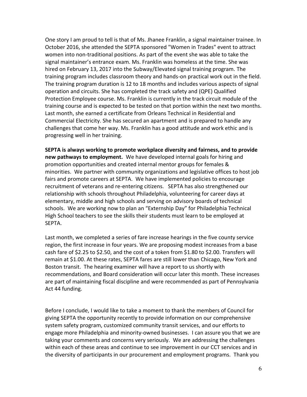One story I am proud to tell is that of Ms. Jhanee Franklin, a signal maintainer trainee. In October 2016, she attended the SEPTA sponsored "Women in Trades" event to attract women into non-traditional positions. As part of the event she was able to take the signal maintainer's entrance exam. Ms. Franklin was homeless at the time. She was hired on February 13, 2017 into the Subway/Elevated signal training program. The training program includes classroom theory and hands-on practical work out in the field. The training program duration is 12 to 18 months and includes various aspects of signal operation and circuits. She has completed the track safety and (QPE) Qualified Protection Employee course. Ms. Franklin is currently in the track circuit module of the training course and is expected to be tested on that portion within the next two months. Last month, she earned a certificate from Orleans Technical in Residential and Commercial Electricity. She has secured an apartment and is prepared to handle any challenges that come her way. Ms. Franklin has a good attitude and work ethic and is progressing well in her training.

**SEPTA is always working to promote workplace diversity and fairness, and to provide new pathways to employment.** We have developed internal goals for hiring and promotion opportunities and created internal mentor groups for females & minorities. We partner with community organizations and legislative offices to host job fairs and promote careers at SEPTA. We have implemented policies to encourage recruitment of veterans and re-entering citizens. SEPTA has also strengthened our relationship with schools throughout Philadelphia, volunteering for career days at elementary, middle and high schools and serving on advisory boards of technical schools. We are working now to plan an "Externship Day" for Philadelphia Technical High School teachers to see the skills their students must learn to be employed at SEPTA.

Last month, we completed a series of fare increase hearings in the five county service region, the first increase in four years. We are proposing modest increases from a base cash fare of \$2.25 to \$2.50, and the cost of a token from \$1.80 to \$2.00. Transfers will remain at \$1.00. At these rates, SEPTA fares are still lower than Chicago, New York and Boston transit. The hearing examiner will have a report to us shortly with recommendations, and Board consideration will occur later this month. These increases are part of maintaining fiscal discipline and were recommended as part of Pennsylvania Act 44 funding.

Before I conclude, I would like to take a moment to thank the members of Council for giving SEPTA the opportunity recently to provide information on our comprehensive system safety program, customized community transit services, and our efforts to engage more Philadelphia and minority-owned businesses. I can assure you that we are taking your comments and concerns very seriously. We are addressing the challenges within each of these areas and continue to see improvement in our CCT services and in the diversity of participants in our procurement and employment programs. Thank you